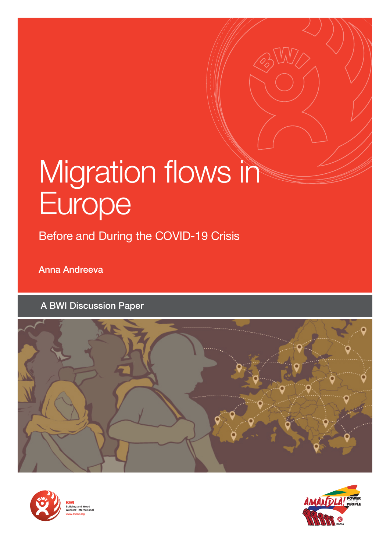# Migration flows in Europe

Before and During the COVID-19 Crisis

Anna Andreeva

A BWI Discussion Paper







**Building and Wood Workers' International www.bwint.org**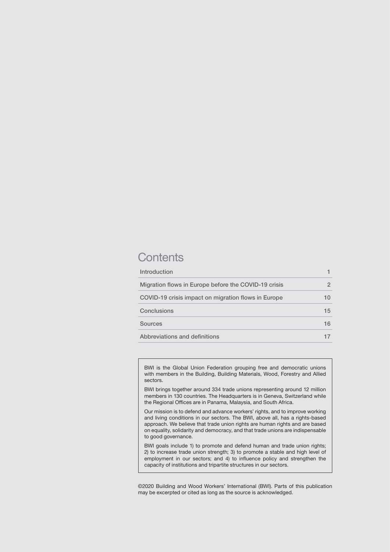### **Contents**

| Introduction                                         |    |
|------------------------------------------------------|----|
| Migration flows in Europe before the COVID-19 crisis | 2  |
| COVID-19 crisis impact on migration flows in Europe  | 10 |
| Conclusions                                          | 15 |
| <b>Sources</b>                                       | 16 |
| Abbreviations and definitions                        |    |

BWI is the Global Union Federation grouping free and democratic unions with members in the Building, Building Materials, Wood, Forestry and Allied sectors.

BWI brings together around 334 trade unions representing around 12 million members in 130 countries. The Headquarters is in Geneva, Switzerland while the Regional Offices are in Panama, Malaysia, and South Africa.

Our mission is to defend and advance workers' rights, and to improve working and living conditions in our sectors. The BWI, above all, has a rights-based approach. We believe that trade union rights are human rights and are based on equality, solidarity and democracy, and that trade unions are indispensable to good governance.

BWI goals include 1) to promote and defend human and trade union rights; 2) to increase trade union strength; 3) to promote a stable and high level of employment in our sectors; and 4) to influence policy and strengthen the capacity of institutions and tripartite structures in our sectors.

©2020 Building and Wood Workers' International (BWI). Parts of this publication may be excerpted or cited as long as the source is acknowledged.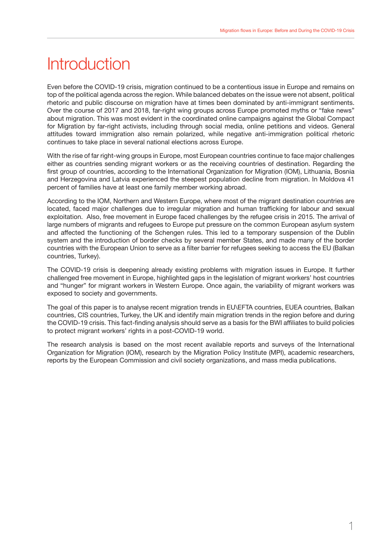## <span id="page-2-0"></span>**Introduction**

Even before the COVID-19 crisis, migration continued to be a contentious issue in Europe and remains on top of the political agenda across the region. While balanced debates on the issue were not absent, political rhetoric and public discourse on migration have at times been dominated by anti-immigrant sentiments. Over the course of 2017 and 2018, far-right wing groups across Europe promoted myths or "fake news" about migration. This was most evident in the coordinated online campaigns against the Global Compact for Migration by far-right activists, including through social media, online petitions and videos. General attitudes toward immigration also remain polarized, while negative anti-immigration political rhetoric continues to take place in several national elections across Europe.

With the rise of far right-wing groups in Europe, most European countries continue to face major challenges either as countries sending migrant workers or as the receiving countries of destination. Regarding the first group of countries, according to the International Organization for Migration (IOM), Lithuania, Bosnia and Herzegovina and Latvia experienced the steepest population decline from migration. In Moldova 41 percent of families have at least one family member working abroad.

According to the IOM, Northern and Western Europe, where most of the migrant destination countries are located, faced major challenges due to irregular migration and human trafficking for labour and sexual exploitation. Also, free movement in Europe faced challenges by the refugee crisis in 2015. The arrival of large numbers of migrants and refugees to Europe put pressure on the common European asylum system and affected the functioning of the Schengen rules. This led to a temporary suspension of the Dublin system and the introduction of border checks by several member States, and made many of the border countries with the European Union to serve as a filter barrier for refugees seeking to access the EU (Balkan countries, Turkey).

The COVID-19 crisis is deepening already existing problems with migration issues in Europe. It further challenged free movement in Europe, highlighted gaps in the legislation of migrant workers' host countries and "hunger" for migrant workers in Western Europe. Once again, the variability of migrant workers was exposed to society and governments.

The goal of this paper is to analyse recent migration trends in EU\EFTA countries, EUEA countries, Balkan countries, CIS countries, Turkey, the UK and identify main migration trends in the region before and during the COVID-19 crisis. This fact-finding analysis should serve as a basis for the BWI affiliates to build policies to protect migrant workers' rights in a post-COVID-19 world.

The research analysis is based on the most recent available reports and surveys of the International Organization for Migration (IOM), research by the Migration Policy Institute (MPI), academic researchers, reports by the European Commission and civil society organizations, and mass media publications.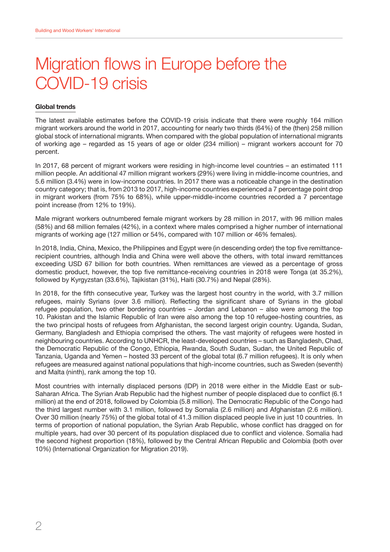# <span id="page-3-0"></span>Migration flows in Europe before the COVID-19 crisis

#### **Global trends**

The latest available estimates before the COVID-19 crisis indicate that there were roughly 164 million migrant workers around the world in 2017, accounting for nearly two thirds (64%) of the (then) 258 million global stock of international migrants. When compared with the global population of international migrants of working age – regarded as 15 years of age or older (234 million) – migrant workers account for 70 percent.

In 2017, 68 percent of migrant workers were residing in high-income level countries – an estimated 111 million people. An additional 47 million migrant workers (29%) were living in middle-income countries, and 5.6 million (3.4%) were in low-income countries. In 2017 there was a noticeable change in the destination country category; that is, from 2013 to 2017, high-income countries experienced a 7 percentage point drop in migrant workers (from 75% to 68%), while upper-middle-income countries recorded a 7 percentage point increase (from 12% to 19%).

Male migrant workers outnumbered female migrant workers by 28 million in 2017, with 96 million males (58%) and 68 million females (42%), in a context where males comprised a higher number of international migrants of working age (127 million or 54%, compared with 107 million or 46% females).

In 2018, India, China, Mexico, the Philippines and Egypt were (in descending order) the top five remittancerecipient countries, although India and China were well above the others, with total inward remittances exceeding USD 67 billion for both countries. When remittances are viewed as a percentage of gross domestic product, however, the top five remittance-receiving countries in 2018 were Tonga (at 35.2%), followed by Kyrgyzstan (33.6%), Tajikistan (31%), Haiti (30.7%) and Nepal (28%).

In 2018, for the fifth consecutive year, Turkey was the largest host country in the world, with 3.7 million refugees, mainly Syrians (over 3.6 million). Reflecting the significant share of Syrians in the global refugee population, two other bordering countries – Jordan and Lebanon – also were among the top 10. Pakistan and the Islamic Republic of Iran were also among the top 10 refugee-hosting countries, as the two principal hosts of refugees from Afghanistan, the second largest origin country. Uganda, Sudan, Germany, Bangladesh and Ethiopia comprised the others. The vast majority of refugees were hosted in neighbouring countries. According to UNHCR, the least-developed countries – such as Bangladesh, Chad, the Democratic Republic of the Congo, Ethiopia, Rwanda, South Sudan, Sudan, the United Republic of Tanzania, Uganda and Yemen – hosted 33 percent of the global total (6.7 million refugees). It is only when refugees are measured against national populations that high-income countries, such as Sweden (seventh) and Malta (ninth), rank among the top 10.

Most countries with internally displaced persons (IDP) in 2018 were either in the Middle East or sub-Saharan Africa. The Syrian Arab Republic had the highest number of people displaced due to conflict (6.1 million) at the end of 2018, followed by Colombia (5.8 million). The Democratic Republic of the Congo had the third largest number with 3.1 million, followed by Somalia (2.6 million) and Afghanistan (2.6 million). Over 30 million (nearly 75%) of the global total of 41.3 million displaced people live in just 10 countries. In terms of proportion of national population, the Syrian Arab Republic, whose conflict has dragged on for multiple years, had over 30 percent of its population displaced due to conflict and violence. Somalia had the second highest proportion (18%), followed by the Central African Republic and Colombia (both over 10%) (International Organization for Migration 2019).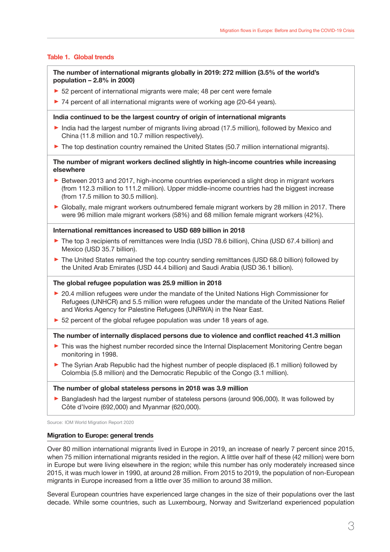#### **Table 1. Global trends**

**The number of international migrants globally in 2019: 272 million (3.5% of the world's population – 2.8% in 2000)** 

- ▶ 52 percent of international migrants were male; 48 per cent were female
- ▶ 74 percent of all international migrants were of working age (20-64 years).

#### **India continued to be the largest country of origin of international migrants**

- ► India had the largest number of migrants living abroad (17.5 million), followed by Mexico and China (11.8 million and 10.7 million respectively).
- ▶ The top destination country remained the United States (50.7 million international migrants).

#### **The number of migrant workers declined slightly in high-income countries while increasing elsewhere**

- ► Between 2013 and 2017, high-income countries experienced a slight drop in migrant workers (from 112.3 million to 111.2 million). Upper middle-income countries had the biggest increase (from 17.5 million to 30.5 million).
- ࢝ Globally, male migrant workers outnumbered female migrant workers by 28 million in 2017. There were 96 million male migrant workers (58%) and 68 million female migrant workers (42%).

#### **International remittances increased to USD 689 billion in 2018**

- ▶ The top 3 recipients of remittances were India (USD 78.6 billion), China (USD 67.4 billion) and Mexico (USD 35.7 billion).
- ▶ The United States remained the top country sending remittances (USD 68.0 billion) followed by the United Arab Emirates (USD 44.4 billion) and Saudi Arabia (USD 36.1 billion).

#### **The global refugee population was 25.9 million in 2018**

- ▶ 20.4 million refugees were under the mandate of the United Nations High Commissioner for Refugees (UNHCR) and 5.5 million were refugees under the mandate of the United Nations Relief and Works Agency for Palestine Refugees (UNRWA) in the Near East.
- ▶ 52 percent of the global refugee population was under 18 years of age.

#### **The number of internally displaced persons due to violence and conflict reached 41.3 million**

- ▶ This was the highest number recorded since the Internal Displacement Monitoring Centre began monitoring in 1998.
- ▶ The Syrian Arab Republic had the highest number of people displaced (6.1 million) followed by Colombia (5.8 million) and the Democratic Republic of the Congo (3.1 million).

#### **The number of global stateless persons in 2018 was 3.9 million**

▶ Bangladesh had the largest number of stateless persons (around 906,000). It was followed by Côte d'Ivoire (692,000) and Myanmar (620,000).

Source: IOM World Migration Report 2020

#### **Migration to Europe: general trends**

Over 80 million international migrants lived in Europe in 2019, an increase of nearly 7 percent since 2015, when 75 million international migrants resided in the region. A little over half of these (42 million) were born in Europe but were living elsewhere in the region; while this number has only moderately increased since 2015, it was much lower in 1990, at around 28 million. From 2015 to 2019, the population of non-European migrants in Europe increased from a little over 35 million to around 38 million.

Several European countries have experienced large changes in the size of their populations over the last decade. While some countries, such as Luxembourg, Norway and Switzerland experienced population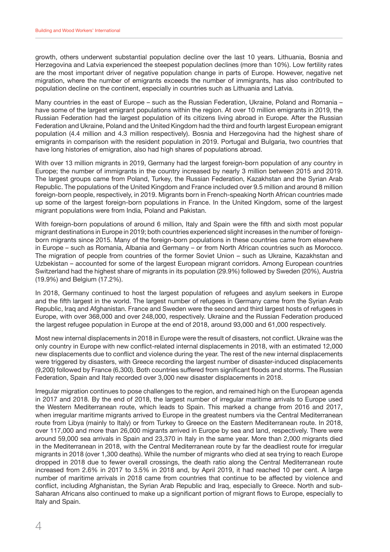growth, others underwent substantial population decline over the last 10 years. Lithuania, Bosnia and Herzegovina and Latvia experienced the steepest population declines (more than 10%). Low fertility rates are the most important driver of negative population change in parts of Europe. However, negative net migration, where the number of emigrants exceeds the number of immigrants, has also contributed to population decline on the continent, especially in countries such as Lithuania and Latvia.

Many countries in the east of Europe – such as the Russian Federation, Ukraine, Poland and Romania – have some of the largest emigrant populations within the region. At over 10 million emigrants in 2019, the Russian Federation had the largest population of its citizens living abroad in Europe. After the Russian Federation and Ukraine, Poland and the United Kingdom had the third and fourth largest European emigrant population (4.4 million and 4.3 million respectively). Bosnia and Herzegovina had the highest share of emigrants in comparison with the resident population in 2019. Portugal and Bulgaria, two countries that have long histories of emigration, also had high shares of populations abroad.

With over 13 million migrants in 2019, Germany had the largest foreign-born population of any country in Europe; the number of immigrants in the country increased by nearly 3 million between 2015 and 2019. The largest groups came from Poland, Turkey, the Russian Federation, Kazakhstan and the Syrian Arab Republic. The populations of the United Kingdom and France included over 9.5 million and around 8 million foreign-born people, respectively, in 2019. Migrants born in French-speaking North African countries made up some of the largest foreign-born populations in France. In the United Kingdom, some of the largest migrant populations were from India, Poland and Pakistan.

With foreign-born populations of around 6 million, Italy and Spain were the fifth and sixth most popular migrant destinations in Europe in 2019; both countries experienced slight increases in the number of foreignborn migrants since 2015. Many of the foreign-born populations in these countries came from elsewhere in Europe – such as Romania, Albania and Germany – or from North African countries such as Morocco. The migration of people from countries of the former Soviet Union – such as Ukraine, Kazakhstan and Uzbekistan – accounted for some of the largest European migrant corridors. Among European countries Switzerland had the highest share of migrants in its population (29.9%) followed by Sweden (20%), Austria (19.9%) and Belgium (17.2%).

In 2018, Germany continued to host the largest population of refugees and asylum seekers in Europe and the fifth largest in the world. The largest number of refugees in Germany came from the Syrian Arab Republic, Iraq and Afghanistan. France and Sweden were the second and third largest hosts of refugees in Europe, with over 368,000 and over 248,000, respectively. Ukraine and the Russian Federation produced the largest refugee population in Europe at the end of 2018, around 93,000 and 61,000 respectively.

Most new internal displacements in 2018 in Europe were the result of disasters, not conflict. Ukraine was the only country in Europe with new conflict-related internal displacements in 2018, with an estimated 12,000 new displacements due to conflict and violence during the year. The rest of the new internal displacements were triggered by disasters, with Greece recording the largest number of disaster-induced displacements (9,200) followed by France (6,300). Both countries suffered from significant floods and storms. The Russian Federation, Spain and Italy recorded over 3,000 new disaster displacements in 2018.

Irregular migration continues to pose challenges to the region, and remained high on the European agenda in 2017 and 2018. By the end of 2018, the largest number of irregular maritime arrivals to Europe used the Western Mediterranean route, which leads to Spain. This marked a change from 2016 and 2017, when irregular maritime migrants arrived to Europe in the greatest numbers via the Central Mediterranean route from Libya (mainly to Italy) or from Turkey to Greece on the Eastern Mediterranean route. In 2018, over 117,000 and more than 26,000 migrants arrived in Europe by sea and land, respectively. There were around 59,000 sea arrivals in Spain and 23,370 in Italy in the same year. More than 2,000 migrants died in the Mediterranean in 2018, with the Central Mediterranean route by far the deadliest route for irregular migrants in 2018 (over 1,300 deaths). While the number of migrants who died at sea trying to reach Europe dropped in 2018 due to fewer overall crossings, the death ratio along the Central Mediterranean route increased from 2.6% in 2017 to 3.5% in 2018 and, by April 2019, it had reached 10 per cent. A large number of maritime arrivals in 2018 came from countries that continue to be affected by violence and conflict, including Afghanistan, the Syrian Arab Republic and Iraq, especially to Greece. North and sub-Saharan Africans also continued to make up a significant portion of migrant flows to Europe, especially to Italy and Spain.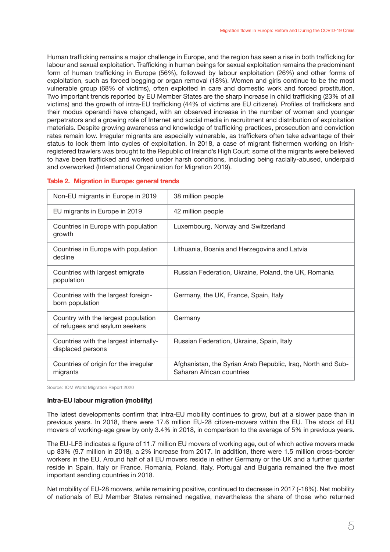Human trafficking remains a major challenge in Europe, and the region has seen a rise in both trafficking for labour and sexual exploitation. Trafficking in human beings for sexual exploitation remains the predominant form of human trafficking in Europe (56%), followed by labour exploitation (26%) and other forms of exploitation, such as forced begging or organ removal (18%). Women and girls continue to be the most vulnerable group (68% of victims), often exploited in care and domestic work and forced prostitution. Two important trends reported by EU Member States are the sharp increase in child trafficking (23% of all victims) and the growth of intra-EU trafficking (44% of victims are EU citizens). Profiles of traffickers and their modus operandi have changed, with an observed increase in the number of women and younger perpetrators and a growing role of Internet and social media in recruitment and distribution of exploitation materials. Despite growing awareness and knowledge of trafficking practices, prosecution and conviction rates remain low. Irregular migrants are especially vulnerable, as traffickers often take advantage of their status to lock them into cycles of exploitation. In 2018, a case of migrant fishermen working on Irishregistered trawlers was brought to the Republic of Ireland's High Court; some of the migrants were believed to have been trafficked and worked under harsh conditions, including being racially-abused, underpaid and overworked (International Organization for Migration 2019).

#### **Table 2. Migration in Europe: general trends**

| Non-EU migrants in Europe in 2019                                     | 38 million people                                                                        |
|-----------------------------------------------------------------------|------------------------------------------------------------------------------------------|
| EU migrants in Europe in 2019                                         | 42 million people                                                                        |
| Countries in Europe with population<br>growth                         | Luxembourg, Norway and Switzerland                                                       |
| Countries in Europe with population<br>decline                        | Lithuania, Bosnia and Herzegovina and Latvia                                             |
| Countries with largest emigrate<br>population                         | Russian Federation, Ukraine, Poland, the UK, Romania                                     |
| Countries with the largest foreign-<br>born population                | Germany, the UK, France, Spain, Italy                                                    |
| Country with the largest population<br>of refugees and asylum seekers | Germany                                                                                  |
| Countries with the largest internally-<br>displaced persons           | Russian Federation, Ukraine, Spain, Italy                                                |
| Countries of origin for the irregular<br>migrants                     | Afghanistan, the Syrian Arab Republic, Iraq, North and Sub-<br>Saharan African countries |

Source: IOM World Migration Report 2020

#### **Intra-EU labour migration (mobility)**

The latest developments confirm that intra-EU mobility continues to grow, but at a slower pace than in previous years. In 2018, there were 17.6 million EU-28 citizen-movers within the EU. The stock of EU movers of working-age grew by only 3.4% in 2018, in comparison to the average of 5% in previous years.

The EU-LFS indicates a figure of 11.7 million EU movers of working age, out of which active movers made up 83% (9.7 million in 2018), a 2% increase from 2017. In addition, there were 1.5 million cross-border workers in the EU. Around half of all EU movers reside in either Germany or the UK and a further quarter reside in Spain, Italy or France. Romania, Poland, Italy, Portugal and Bulgaria remained the five most important sending countries in 2018.

Net mobility of EU-28 movers, while remaining positive, continued to decrease in 2017 (-18%). Net mobility of nationals of EU Member States remained negative, nevertheless the share of those who returned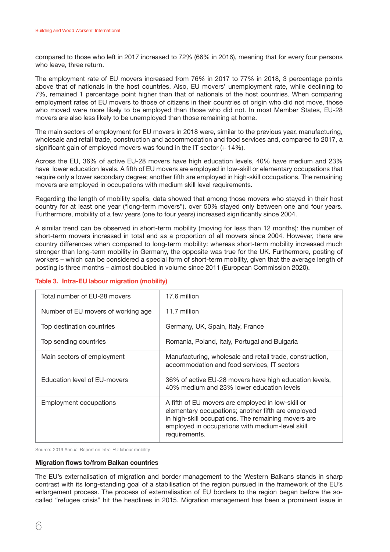compared to those who left in 2017 increased to 72% (66% in 2016), meaning that for every four persons who leave, three return.

The employment rate of EU movers increased from 76% in 2017 to 77% in 2018, 3 percentage points above that of nationals in the host countries. Also, EU movers' unemployment rate, while declining to 7%, remained 1 percentage point higher than that of nationals of the host countries. When comparing employment rates of EU movers to those of citizens in their countries of origin who did not move, those who moved were more likely to be employed than those who did not. In most Member States, EU-28 movers are also less likely to be unemployed than those remaining at home.

The main sectors of employment for EU movers in 2018 were, similar to the previous year, manufacturing, wholesale and retail trade, construction and accommodation and food services and, compared to 2017, a significant gain of employed movers was found in the IT sector (+ 14%).

Across the EU, 36% of active EU-28 movers have high education levels, 40% have medium and 23% have lower education levels. A fifth of EU movers are employed in low-skill or elementary occupations that require only a lower secondary degree; another fifth are employed in high-skill occupations. The remaining movers are employed in occupations with medium skill level requirements.

Regarding the length of mobility spells, data showed that among those movers who stayed in their host country for at least one year ("long-term movers"), over 50% stayed only between one and four years. Furthermore, mobility of a few years (one to four years) increased significantly since 2004.

A similar trend can be observed in short-term mobility (moving for less than 12 months): the number of short-term movers increased in total and as a proportion of all movers since 2004. However, there are country differences when compared to long-term mobility: whereas short-term mobility increased much stronger than long-term mobility in Germany, the opposite was true for the UK. Furthermore, posting of workers – which can be considered a special form of short-term mobility, given that the average length of posting is three months – almost doubled in volume since 2011 (European Commission 2020).

| Total number of EU-28 movers       | 17.6 million                                                                                                                                                                                                                       |
|------------------------------------|------------------------------------------------------------------------------------------------------------------------------------------------------------------------------------------------------------------------------------|
| Number of EU movers of working age | 11.7 million                                                                                                                                                                                                                       |
| Top destination countries          | Germany, UK, Spain, Italy, France                                                                                                                                                                                                  |
| Top sending countries              | Romania, Poland, Italy, Portugal and Bulgaria                                                                                                                                                                                      |
| Main sectors of employment         | Manufacturing, wholesale and retail trade, construction,<br>accommodation and food services, IT sectors                                                                                                                            |
| Education level of EU-movers       | 36% of active EU-28 movers have high education levels,<br>40% medium and 23% lower education levels                                                                                                                                |
| <b>Employment occupations</b>      | A fifth of EU movers are employed in low-skill or<br>elementary occupations; another fifth are employed<br>in high-skill occupations. The remaining movers are<br>employed in occupations with medium-level skill<br>requirements. |

#### **Table 3. Intra-EU labour migration (mobility)**

Source: 2019 Annual Report on Intra-EU labour mobility

#### **Migration flows to/from Balkan countries**

The EU's externalisation of migration and border management to the Western Balkans stands in sharp contrast with its long-standing goal of a stabilisation of the region pursued in the framework of the EU's enlargement process. The process of externalisation of EU borders to the region began before the socalled "refugee crisis" hit the headlines in 2015. Migration management has been a prominent issue in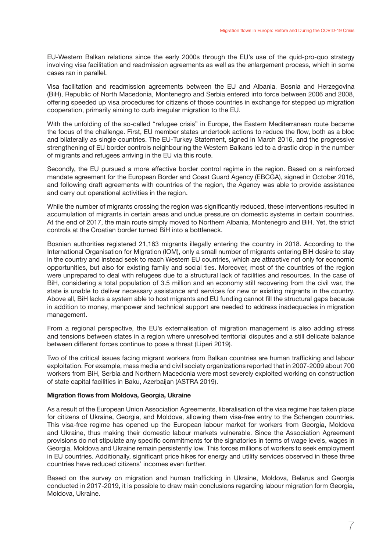EU-Western Balkan relations since the early 2000s through the EU's use of the quid-pro-quo strategy involving visa facilitation and readmission agreements as well as the enlargement process, which in some cases ran in parallel.

Visa facilitation and readmission agreements between the EU and Albania, Bosnia and Herzegovina (BiH), Republic of North Macedonia, Montenegro and Serbia entered into force between 2006 and 2008, offering speeded up visa procedures for citizens of those countries in exchange for stepped up migration cooperation, primarily aiming to curb irregular migration to the EU.

With the unfolding of the so-called "refugee crisis" in Europe, the Eastern Mediterranean route became the focus of the challenge. First, EU member states undertook actions to reduce the flow, both as a bloc and bilaterally as single countries. The EU-Turkey Statement, signed in March 2016, and the progressive strengthening of EU border controls neighbouring the Western Balkans led to a drastic drop in the number of migrants and refugees arriving in the EU via this route.

Secondly, the EU pursued a more effective border control regime in the region. Based on a reinforced mandate agreement for the European Border and Coast Guard Agency (EBCGA), signed in October 2016, and following draft agreements with countries of the region, the Agency was able to provide assistance and carry out operational activities in the region.

While the number of migrants crossing the region was significantly reduced, these interventions resulted in accumulation of migrants in certain areas and undue pressure on domestic systems in certain countries. At the end of 2017, the main route simply moved to Northern Albania, Montenegro and BiH. Yet, the strict controls at the Croatian border turned BiH into a bottleneck.

Bosnian authorities registered 21,163 migrants illegally entering the country in 2018. According to the International Organisation for Migration (IOM), only a small number of migrants entering BiH desire to stay in the country and instead seek to reach Western EU countries, which are attractive not only for economic opportunities, but also for existing family and social ties. Moreover, most of the countries of the region were unprepared to deal with refugees due to a structural lack of facilities and resources. In the case of BiH, considering a total population of 3.5 million and an economy still recovering from the civil war, the state is unable to deliver necessary assistance and services for new or existing migrants in the country. Above all, BiH lacks a system able to host migrants and EU funding cannot fill the structural gaps because in addition to money, manpower and technical support are needed to address inadequacies in migration management.

From a regional perspective, the EU's externalisation of migration management is also adding stress and tensions between states in a region where unresolved territorial disputes and a still delicate balance between different forces continue to pose a threat (Liperi 2019).

Two of the critical issues facing migrant workers from Balkan countries are human trafficking and labour exploitation. For example, mass media and civil society organizations reported that in 2007-2009 about 700 workers from BiH, Serbia and Northern Macedonia were most severely exploited working on construction of state capital facilities in Baku, Azerbaijan (ASTRA 2019).

#### **Migration flows from Moldova, Georgia, Ukraine**

As a result of the European Union Association Agreements, liberalisation of the visa regime has taken place for citizens of Ukraine, Georgia, and Moldova, allowing them visa-free entry to the Schengen countries. This visa-free regime has opened up the European labour market for workers from Georgia, Moldova and Ukraine, thus making their domestic labour markets vulnerable. Since the Association Agreement provisions do not stipulate any specific commitments for the signatories in terms of wage levels, wages in Georgia, Moldova and Ukraine remain persistently low. This forces millions of workers to seek employment in EU countries. Additionally, significant price hikes for energy and utility services observed in these three countries have reduced citizens' incomes even further.

Based on the survey on migration and human trafficking in Ukraine, Moldova, Belarus and Georgia conducted in 2017-2019, it is possible to draw main conclusions regarding labour migration form Georgia, Moldova, Ukraine.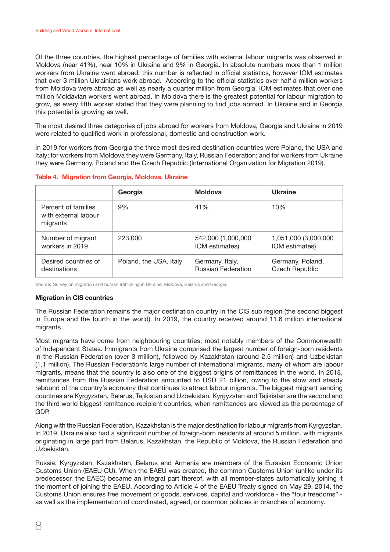Of the three countries, the highest percentage of families with external labour migrants was observed in Moldova (near 41%), near 10% in Ukraine and 9% in Georgia. In absolute numbers more than 1 million workers from Ukraine went abroad: this number is reflected in official statistics, however IOM estimates that over 3 million Ukrainians work abroad. According to the official statistics over half a million workers from Moldova were abroad as well as nearly a quarter million from Georgia. IOM estimates that over one million Moldavian workers went abroad. In Moldova there is the greatest potential for labour migration to grow, as every fifth worker stated that they were planning to find jobs abroad. In Ukraine and in Georgia this potential is growing as well.

The most desired three categories of jobs abroad for workers from Moldova, Georgia and Ukraine in 2019 were related to qualified work in professional, domestic and construction work.

In 2019 for workers from Georgia the three most desired destination countries were Poland, the USA and Italy; for workers from Moldova they were Germany, Italy, Russian Federation; and for workers from Ukraine they were Germany, Poland and the Czech Republic (International Organization for Migration 2019).

|  | Table 4. Migration from Georgia, Moldova, Ukraine |  |  |  |  |
|--|---------------------------------------------------|--|--|--|--|
|--|---------------------------------------------------|--|--|--|--|

|                                                         | Georgia                | Moldova                   | <b>Ukraine</b>        |
|---------------------------------------------------------|------------------------|---------------------------|-----------------------|
| Percent of families<br>with external labour<br>migrants | 9%                     | 41%                       | 10%                   |
| Number of migrant                                       | 223,000                | 542,000 (1,000,000        | 1,051,000 (3,000,000  |
| workers in 2019                                         |                        | IOM estimates)            | IOM estimates)        |
| Desired countries of                                    | Poland, the USA, Italy | Germany, Italy,           | Germany, Poland,      |
| destinations                                            |                        | <b>Russian Federation</b> | <b>Czech Republic</b> |

Source: Survey on migration and human trafficking in Ukraine, Moldova, Belarus and Georgia.

#### **Migration in CIS countries**

The Russian Federation remains the major destination country in the CIS sub region (the second biggest in Europe and the fourth in the world). In 2019, the country received around 11.6 million international migrants.

Most migrants have come from neighbouring countries, most notably members of the Commonwealth of Independent States. Immigrants from Ukraine comprised the largest number of foreign-born residents in the Russian Federation (over 3 million), followed by Kazakhstan (around 2.5 million) and Uzbekistan (1.1 million). The Russian Federation's large number of international migrants, many of whom are labour migrants, means that the country is also one of the biggest origins of remittances in the world. In 2018, remittances from the Russian Federation amounted to USD 21 billion, owing to the slow and steady rebound of the country's economy that continues to attract labour migrants. The biggest migrant sending countries are Kyrgyzstan, Belarus, Tajikistan and Uzbekistan. Kyrgyzstan and Tajikistan are the second and the third world biggest remittance-recipient countries, when remittances are viewed as the percentage of GDP.

Along with the Russian Federation, Kazakhstan is the major destination for labour migrants from Kyrgyzstan. In 2019, Ukraine also had a significant number of foreign-born residents at around 5 million, with migrants originating in large part from Belarus, Kazakhstan, the Republic of Moldova, the Russian Federation and Uzbekistan.

Russia, Kyrgyzstan, Kazakhstan, Belarus and Armenia are members of the Eurasian Economic Union Customs Union (EAEU CU). When the EAEU was created, the common Customs Union (unlike under its predecessor, the EAEC) became an integral part thereof, with all member-states automatically joining it the moment of joining the EAEU. According to Article 4 of the EAEU Treaty signed on May 29, 2014, the Customs Union ensures free movement of goods, services, capital and workforce - the "four freedoms" as well as the implementation of coordinated, agreed, or common policies in branches of economy.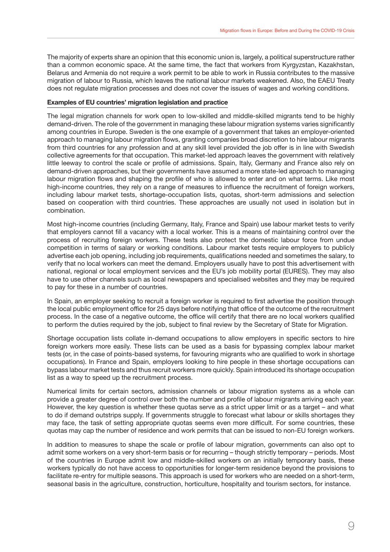The majority of experts share an opinion that this economic union is, largely, a political superstructure rather than a common economic space. At the same time, the fact that workers from Kyrgyzstan, Kazakhstan, Belarus and Armenia do not require a work permit to be able to work in Russia contributes to the massive migration of labour to Russia, which leaves the national labour markets weakened. Also, the EAEU Treaty does not regulate migration processes and does not cover the issues of wages and working conditions.

#### **Examples of EU countries' migration legislation and practice**

The legal migration channels for work open to low-skilled and middle-skilled migrants tend to be highly demand-driven. The role of the government in managing these labour migration systems varies significantly among countries in Europe. Sweden is the one example of a government that takes an employer-oriented approach to managing labour migration flows, granting companies broad discretion to hire labour migrants from third countries for any profession and at any skill level provided the job offer is in line with Swedish collective agreements for that occupation. This market-led approach leaves the government with relatively little leeway to control the scale or profile of admissions. Spain, Italy, Germany and France also rely on demand-driven approaches, but their governments have assumed a more state-led approach to managing labour migration flows and shaping the profile of who is allowed to enter and on what terms. Like most high-income countries, they rely on a range of measures to influence the recruitment of foreign workers, including labour market tests, shortage-occupation lists, quotas, short-term admissions and selection based on cooperation with third countries. These approaches are usually not used in isolation but in combination.

Most high-income countries (including Germany, Italy, France and Spain) use labour market tests to verify that employers cannot fill a vacancy with a local worker. This is a means of maintaining control over the process of recruiting foreign workers. These tests also protect the domestic labour force from undue competition in terms of salary or working conditions. Labour market tests require employers to publicly advertise each job opening, including job requirements, qualifications needed and sometimes the salary, to verify that no local workers can meet the demand. Employers usually have to post this advertisement with national, regional or local employment services and the EU's job mobility portal (EURES). They may also have to use other channels such as local newspapers and specialised websites and they may be required to pay for these in a number of countries.

In Spain, an employer seeking to recruit a foreign worker is required to first advertise the position through the local public employment office for 25 days before notifying that office of the outcome of the recruitment process. In the case of a negative outcome, the office will certify that there are no local workers qualified to perform the duties required by the job, subject to final review by the Secretary of State for Migration.

Shortage occupation lists collate in-demand occupations to allow employers in specific sectors to hire foreign workers more easily. These lists can be used as a basis for bypassing complex labour market tests (or, in the case of points-based systems, for favouring migrants who are qualified to work in shortage occupations). In France and Spain, employers looking to hire people in these shortage occupations can bypass labour market tests and thus recruit workers more quickly. Spain introduced its shortage occupation list as a way to speed up the recruitment process.

Numerical limits for certain sectors, admission channels or labour migration systems as a whole can provide a greater degree of control over both the number and profile of labour migrants arriving each year. However, the key question is whether these quotas serve as a strict upper limit or as a target – and what to do if demand outstrips supply. If governments struggle to forecast what labour or skills shortages they may face, the task of setting appropriate quotas seems even more difficult. For some countries, these quotas may cap the number of residence and work permits that can be issued to non-EU foreign workers.

In addition to measures to shape the scale or profile of labour migration, governments can also opt to admit some workers on a very short-term basis or for recurring – though strictly temporary – periods. Most of the countries in Europe admit low and middle-skilled workers on an initially temporary basis, these workers typically do not have access to opportunities for longer-term residence beyond the provisions to facilitate re-entry for multiple seasons. This approach is used for workers who are needed on a short-term, seasonal basis in the agriculture, construction, horticulture, hospitality and tourism sectors, for instance.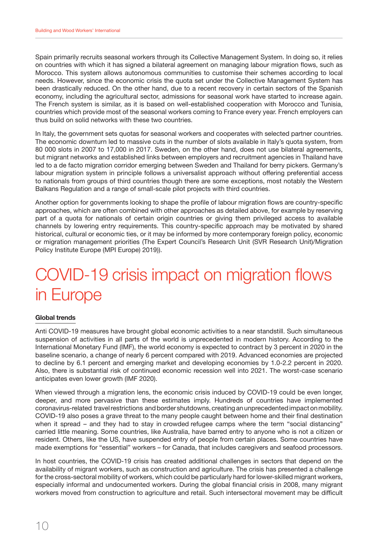<span id="page-11-0"></span>Spain primarily recruits seasonal workers through its Collective Management System. In doing so, it relies on countries with which it has signed a bilateral agreement on managing labour migration flows, such as Morocco. This system allows autonomous communities to customise their schemes according to local needs. However, since the economic crisis the quota set under the Collective Management System has been drastically reduced. On the other hand, due to a recent recovery in certain sectors of the Spanish economy, including the agricultural sector, admissions for seasonal work have started to increase again. The French system is similar, as it is based on well-established cooperation with Morocco and Tunisia, countries which provide most of the seasonal workers coming to France every year. French employers can thus build on solid networks with these two countries.

In Italy, the government sets quotas for seasonal workers and cooperates with selected partner countries. The economic downturn led to massive cuts in the number of slots available in Italy's quota system, from 80 000 slots in 2007 to 17,000 in 2017. Sweden, on the other hand, does not use bilateral agreements, but migrant networks and established links between employers and recruitment agencies in Thailand have led to a de facto migration corridor emerging between Sweden and Thailand for berry pickers. Germany's labour migration system in principle follows a universalist approach without offering preferential access to nationals from groups of third countries though there are some exceptions, most notably the Western Balkans Regulation and a range of small-scale pilot projects with third countries.

Another option for governments looking to shape the profile of labour migration flows are country-specific approaches, which are often combined with other approaches as detailed above, for example by reserving part of a quota for nationals of certain origin countries or giving them privileged access to available channels by lowering entry requirements. This country-specific approach may be motivated by shared historical, cultural or economic ties, or it may be informed by more contemporary foreign policy, economic or migration management priorities (The Expert Council's Research Unit (SVR Research Unit)/Migration Policy Institute Europe (MPI Europe) 2019)).

# COVID-19 crisis impact on migration flows in Europe

#### **Global trends**

Anti COVID-19 measures have brought global economic activities to a near standstill. Such simultaneous suspension of activities in all parts of the world is unprecedented in modern history. According to the International Monetary Fund (IMF), the world economy is expected to contract by 3 percent in 2020 in the baseline scenario, a change of nearly 6 percent compared with 2019. Advanced economies are projected to decline by 6.1 percent and emerging market and developing economies by 1.0-2.2 percent in 2020. Also, there is substantial risk of continued economic recession well into 2021. The worst-case scenario anticipates even lower growth (IMF 2020).

When viewed through a migration lens, the economic crisis induced by COVID-19 could be even longer, deeper, and more pervasive than these estimates imply. Hundreds of countries have implemented coronavirus-related travel restrictions and border shutdowns, creating an unprecedented impact on mobility. COVID-19 also poses a grave threat to the many people caught between home and their final destination when it spread – and they had to stay in crowded refugee camps where the term "social distancing" carried little meaning. Some countries, like Australia, have barred entry to anyone who is not a citizen or resident. Others, like the US, have suspended entry of people from certain places. Some countries have made exemptions for "essential" workers – for Canada, that includes caregivers and seafood processors.

In host countries, the COVID-19 crisis has created additional challenges in sectors that depend on the availability of migrant workers, such as construction and agriculture. The crisis has presented a challenge for the cross-sectoral mobility of workers, which could be particularly hard for lower-skilled migrant workers, especially informal and undocumented workers. During the global financial crisis in 2008, many migrant workers moved from construction to agriculture and retail. Such intersectoral movement may be difficult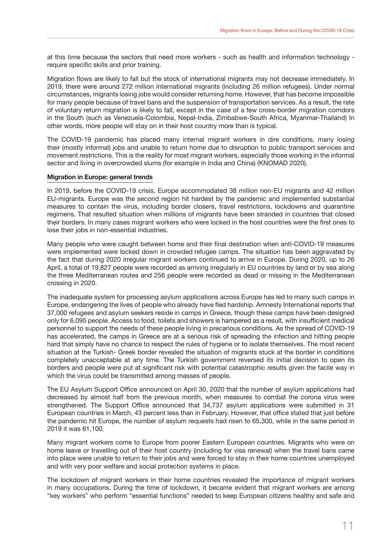at this time because the sectors that need more workers - such as health and information technology require specific skills and prior training.

Migration flows are likely to fall but the stock of international migrants may not decrease immediately. In 2019, there were around 272 million international migrants (including 26 million refugees). Under normal circumstances, migrants losing jobs would consider returning home. However, that has become impossible for many people because of travel bans and the suspension of transportation services. As a result, the rate of voluntary return migration is likely to fall, except in the case of a few cross-border migration corridors in the South (such as Venezuela-Colombia, Nepal-India, Zimbabwe-South Africa, Myanmar-Thailand) In other words, more people will stay on in their host country more than is typical.

The COVID-19 pandemic has placed many internal migrant workers in dire conditions, many losing their (mostly informal) jobs and unable to return home due to disruption to public transport services and movement restrictions. This is the reality for most migrant workers, especially those working in the informal sector and living in overcrowded slums (for example in India and China) (KNOMAD 2020).

#### **Migration in Europe: general trends**

In 2019, before the COVID-19 crisis, Europe accommodated 38 million non-EU migrants and 42 million EU-migrants. Europe was the second region hit hardest by the pandemic and implemented substantial measures to contain the virus, including border closers, travel restrictions, lockdowns and quarantine regimens. That resulted situation when millions of migrants have been stranded in countries that closed their borders. In many cases migrant workers who were locked in the host countries were the first ones to lose their jobs in non-essential industries.

Many people who were caught between home and their final destination when anti-COVID-19 measures were implemented were locked down in crowded refugee camps. The situation has been aggravated by the fact that during 2020 irregular migrant workers continued to arrive in Europe. During 2020, up to 26 April, a total of 19,827 people were recorded as arriving irregularly in EU countries by land or by sea along the three Mediterranean routes and 256 people were recorded as dead or missing in the Mediterranean crossing in 2020.

The inadequate system for processing asylum applications across Europe has led to many such camps in Europe, endangering the lives of people who already have fled hardship. Amnesty International reports that 37,000 refugees and asylum seekers reside in camps in Greece, though these camps have been designed only for 6,095 people. Access to food, toilets and showers is hampered as a result, with insufficient medical personnel to support the needs of these people living in precarious conditions. As the spread of COVID-19 has accelerated, the camps in Greece are at a serious risk of spreading the infection and hitting people hard that simply have no chance to respect the rules of hygiene or to isolate themselves. The most recent situation at the Turkish- Greek border revealed the situation of migrants stuck at the border in conditions completely unacceptable at any time. The Turkish government reversed its initial decision to open its borders and people were put at significant risk with potential catastrophic results given the facile way in which the virus could be transmitted among masses of people.

The EU Asylum Support Office announced on April 30, 2020 that the number of asylum applications had decreased by almost half from the previous month, when measures to combat the corona virus were strengthened. The Support Office announced that 34,737 asylum applications were submitted in 31 European countries in March, 43 percent less than in February. However, that office stated that just before the pandemic hit Europe, the number of asylum requests had risen to 65,300, while in the same period in 2019 it was 61,100.

Many migrant workers come to Europe from poorer Eastern European countries. Migrants who were on home leave or travelling out of their host country (including for visa renewal) when the travel bans came into place were unable to return to their jobs and were forced to stay in their home countries unemployed and with very poor welfare and social protection systems in place.

The lockdown of migrant workers in their home countries revealed the importance of migrant workers in many occupations. During the time of lockdown, it became evident that migrant workers are among "key workers" who perform "essential functions" needed to keep European citizens healthy and safe and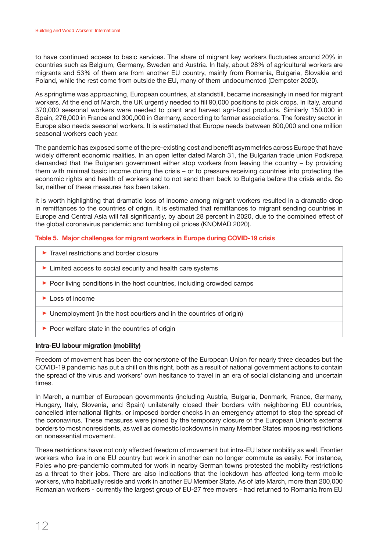to have continued access to basic services. The share of migrant key workers fluctuates around 20% in countries such as Belgium, Germany, Sweden and Austria. In Italy, about 28% of agricultural workers are migrants and 53% of them are from another EU country, mainly from Romania, Bulgaria, Slovakia and Poland, while the rest come from outside the EU, many of them undocumented (Dempster 2020).

As springtime was approaching, European countries, at standstill, became increasingly in need for migrant workers. At the end of March, the UK urgently needed to fill 90,000 positions to pick crops. In Italy, around 370,000 seasonal workers were needed to plant and harvest agri-food products. Similarly 150,000 in Spain, 276,000 in France and 300,000 in Germany, according to farmer associations. The forestry sector in Europe also needs seasonal workers. It is estimated that Europe needs between 800,000 and one million seasonal workers each year.

The pandemic has exposed some of the pre-existing cost and benefit asymmetries across Europe that have widely different economic realities. In an open letter dated March 31, the Bulgarian trade union Podkrepa demanded that the Bulgarian government either stop workers from leaving the country – by providing them with minimal basic income during the crisis – or to pressure receiving countries into protecting the economic rights and health of workers and to not send them back to Bulgaria before the crisis ends. So far, neither of these measures has been taken.

It is worth highlighting that dramatic loss of income among migrant workers resulted in a dramatic drop in remittances to the countries of origin. It is estimated that remittances to migrant sending countries in Europe and Central Asia will fall significantly, by about 28 percent in 2020, due to the combined effect of the global coronavirus pandemic and tumbling oil prices (KNOMAD 2020).

#### **Table 5. Major challenges for migrant workers in Europe during COVID-19 crisis**

| $\blacktriangleright$ Travel restrictions and border closure            |
|-------------------------------------------------------------------------|
| Limited access to social security and health care systems               |
| ▶ Poor living conditions in the host countries, including crowded camps |
| $\blacktriangleright$ Loss of income                                    |
| • Unemployment (in the host courtiers and in the countries of origin)   |
| $\triangleright$ Poor welfare state in the countries of origin          |

#### **Intra-EU labour migration (mobility)**

Freedom of movement has been the cornerstone of the European Union for nearly three decades but the COVID-19 pandemic has put a chill on this right, both as a result of national government actions to contain the spread of the virus and workers' own hesitance to travel in an era of social distancing and uncertain times.

In March, a number of European governments (including Austria, Bulgaria, Denmark, France, Germany, Hungary, Italy, Slovenia, and Spain) unilaterally closed their borders with neighboring EU countries, cancelled international flights, or imposed border checks in an emergency attempt to stop the spread of the coronavirus. These measures were joined by the temporary closure of the European Union's external borders to most nonresidents, as well as domestic lockdowns in many Member States imposing restrictions on nonessential movement.

These restrictions have not only affected freedom of movement but intra-EU labor mobility as well. Frontier workers who live in one EU country but work in another can no longer commute as easily. For instance, Poles who pre-pandemic commuted for work in nearby German towns protested the mobility restrictions as a threat to their jobs. There are also indications that the lockdown has affected long-term mobile workers, who habitually reside and work in another EU Member State. As of late March, more than 200,000 Romanian workers - currently the largest group of EU-27 free movers - had returned to Romania from EU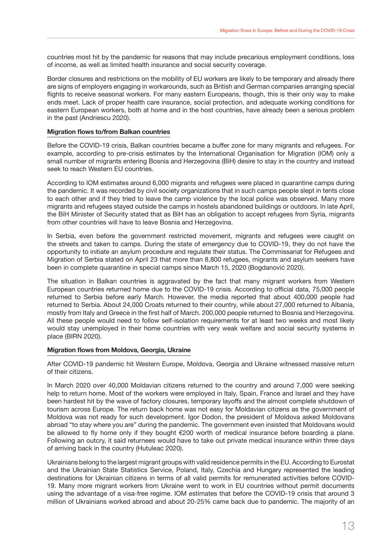countries most hit by the pandemic for reasons that may include precarious employment conditions, loss of income, as well as limited health insurance and social security coverage.

Border closures and restrictions on the mobility of EU workers are likely to be temporary and already there are signs of employers engaging in workarounds, such as British and German companies arranging special flights to receive seasonal workers. For many eastern Europeans, though, this is their only way to make ends meet. Lack of proper health care insurance, social protection, and adequate working conditions for eastern European workers, both at home and in the host countries, have already been a serious problem in the past (Andriescu 2020).

#### **Migration flows to/from Balkan countries**

Before the COVID-19 crisis, Balkan countries became a buffer zone for many migrants and refugees. For example, according to pre-crisis estimates by the International Organisation for Migration (IOM) only a small number of migrants entering Bosnia and Herzegovina (BiH) desire to stay in the country and instead seek to reach Western EU countries.

According to IOM estimates around 6,000 migrants and refugees were placed in quarantine camps during the pandemic. It was recorded by civil society organizations that in such camps people slept in tents close to each other and if they tried to leave the camp violence by the local police was observed. Many more migrants and refugees stayed outside the camps in hostels abandoned buildings or outdoors. In late April, the BiH Minister of Security stated that as BiH has an obligation to accept refugees from Syria, migrants from other countries will have to leave Bosnia and Herzegovina.

In Serbia, even before the government restricted movement, migrants and refugees were caught on the streets and taken to camps. During the state of emergency due to COVID-19, they do not have the opportunity to initiate an asylum procedure and regulate their status. The Commissariat for Refugees and Migration of Serbia stated on April 23 that more than 8,800 refugees, migrants and asylum seekers have been in complete quarantine in special camps since March 15, 2020 (Bogdanović 2020).

The situation in Balkan countries is aggravated by the fact that many migrant workers from Western European countries returned home due to the COVID-19 crisis. According to official data, 75,000 people returned to Serbia before early March. However, the media reported that about 400,000 people had returned to Serbia. About 24,000 Croats returned to their country, while about 27,000 returned to Albania, mostly from Italy and Greece in the first half of March. 200,000 people returned to Bosnia and Herzegovina. All these people would need to follow self-isolation requirements for at least two weeks and most likely would stay unemployed in their home countries with very weak welfare and social security systems in place (BIRN 2020).

#### **Migration flows from Moldova, Georgia, Ukraine**

After COVID-19 pandemic hit Western Europe, Moldova, Georgia and Ukraine witnessed massive return of their citizens.

In March 2020 over 40,000 Moldavian citizens returned to the country and around 7,000 were seeking help to return home. Most of the workers were employed in Italy, Spain, France and Israel and they have been hardest hit by the wave of factory closures, temporary layoffs and the almost complete shutdown of tourism across Europe. The return back home was not easy for Moldavian citizens as the government of Moldova was not ready for such development. Igor Dodon, the president of Moldova asked Moldovans abroad "to stay where you are" during the pandemic. The government even insisted that Moldovans would be allowed to fly home only if they bought €200 worth of medical insurance before boarding a plane. Following an outcry, it said returnees would have to take out private medical insurance within three days of arriving back in the country (Hutuleac 2020).

Ukrainians belong to the largest migrant groups with valid residence permits in the EU. According to Eurostat and the Ukrainian State Statistics Service, Poland, Italy, Czechia and Hungary represented the leading destinations for Ukrainian citizens in terms of all valid permits for remunerated activities before COVID-19. Many more migrant workers from Ukraine went to work in EU countries without permit documents using the advantage of a visa-free regime. IOM estimates that before the COVID-19 crisis that around 3 million of Ukrainians worked abroad and about 20-25% came back due to pandemic. The majority of an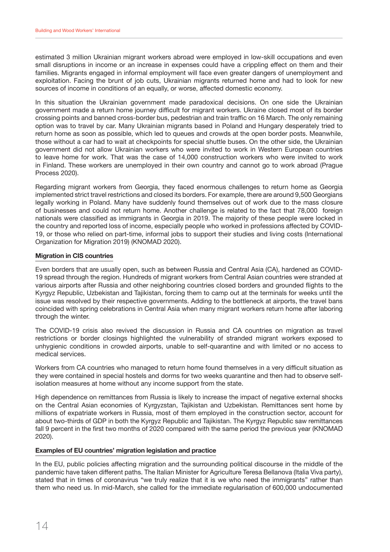estimated 3 million Ukrainian migrant workers abroad were employed in low-skill occupations and even small disruptions in income or an increase in expenses could have a crippling effect on them and their families. Migrants engaged in informal employment will face even greater dangers of unemployment and exploitation. Facing the brunt of job cuts, Ukrainian migrants returned home and had to look for new sources of income in conditions of an equally, or worse, affected domestic economy.

In this situation the Ukrainian government made paradoxical decisions. On one side the Ukrainian government made a return home journey difficult for migrant workers. Ukraine closed most of its border crossing points and banned cross-border bus, pedestrian and train traffic on 16 March. The only remaining option was to travel by car. Many Ukrainian migrants based in Poland and Hungary desperately tried to return home as soon as possible, which led to queues and crowds at the open border posts. Meanwhile, those without a car had to wait at checkpoints for special shuttle buses. On the other side, the Ukrainian government did not allow Ukrainian workers who were invited to work in Western European countries to leave home for work. That was the case of 14,000 construction workers who were invited to work in Finland. These workers are unemployed in their own country and cannot go to work abroad (Prague Process 2020).

Regarding migrant workers from Georgia, they faced enormous challenges to return home as Georgia implemented strict travel restrictions and closed its borders. For example, there are around 9,500 Georgians legally working in Poland. Many have suddenly found themselves out of work due to the mass closure of businesses and could not return home. Another challenge is related to the fact that 78,000 foreign nationals were classified as immigrants in Georgia in 2019. The majority of these people were locked in the country and reported loss of income, especially people who worked in professions affected by COVID-19, or those who relied on part-time, informal jobs to support their studies and living costs (International Organization for Migration 2019) (KNOMAD 2020).

#### **Migration in CIS countries**

Even borders that are usually open, such as between Russia and Central Asia (CA), hardened as COVID-19 spread through the region. Hundreds of migrant workers from Central Asian countries were stranded at various airports after Russia and other neighboring countries closed borders and grounded flights to the Kyrgyz Republic, Uzbekistan and Tajikistan, forcing them to camp out at the terminals for weeks until the issue was resolved by their respective governments. Adding to the bottleneck at airports, the travel bans coincided with spring celebrations in Central Asia when many migrant workers return home after laboring through the winter.

The COVID-19 crisis also revived the discussion in Russia and CA countries on migration as travel restrictions or border closings highlighted the vulnerability of stranded migrant workers exposed to unhygienic conditions in crowded airports, unable to self-quarantine and with limited or no access to medical services.

Workers from CA countries who managed to return home found themselves in a very difficult situation as they were contained in special hostels and dorms for two weeks quarantine and then had to observe selfisolation measures at home without any income support from the state.

High dependence on remittances from Russia is likely to increase the impact of negative external shocks on the Central Asian economies of Kyrgyzstan, Tajikistan and Uzbekistan. Remittances sent home by millions of expatriate workers in Russia, most of them employed in the construction sector, account for about two-thirds of GDP in both the Kyrgyz Republic and Tajikistan. The Kyrgyz Republic saw remittances fall 9 percent in the first two months of 2020 compared with the same period the previous year (KNOMAD 2020).

#### **Examples of EU countries' migration legislation and practice**

In the EU, public policies affecting migration and the surrounding political discourse in the middle of the pandemic have taken different paths. The Italian Minister for Agriculture Teresa Bellanova (Italia Viva party), stated that in times of coronavirus "we truly realize that it is we who need the immigrants" rather than them who need us. In mid-March, she called for the immediate regularisation of 600,000 undocumented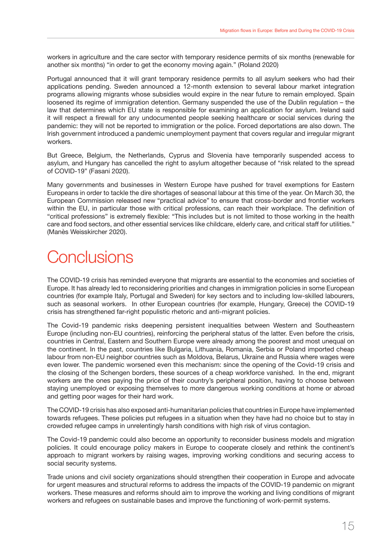<span id="page-16-0"></span>workers in agriculture and the care sector with temporary residence permits of six months (renewable for another six months) "in order to get the economy moving again." (Roland 2020)

Portugal announced that it will grant temporary residence permits to all asylum seekers who had their applications pending. Sweden announced a 12-month extension to several labour market integration programs allowing migrants whose subsidies would expire in the near future to remain employed. Spain loosened its regime of immigration detention. Germany suspended the use of the Dublin regulation – the law that determines which EU state is responsible for examining an application for asylum. Ireland said it will respect a firewall for any undocumented people seeking healthcare or social services during the pandemic: they will not be reported to immigration or the police. Forced deportations are also down. The Irish government introduced a pandemic unemployment payment that covers regular and irregular migrant workers.

But Greece, Belgium, the Netherlands, Cyprus and Slovenia have temporarily suspended access to asylum, and Hungary has cancelled the right to asylum altogether because of "risk related to the spread of COVID-19" (Fasani 2020).

Many governments and businesses in Western Europe have pushed for travel exemptions for Eastern Europeans in order to tackle the dire shortages of seasonal labour at this time of the year. On March 30, the European Commission released new "practical advice" to ensure that cross-border and frontier workers within the EU, in particular those with critical professions, can reach their workplace. The definition of "critical professions" is extremely flexible: "This includes but is not limited to those working in the health care and food sectors, and other essential services like childcare, elderly care, and critical staff for utilities." (Manès Weisskircher 2020).

# **Conclusions**

The COVID-19 crisis has reminded everyone that migrants are essential to the economies and societies of Europe. It has already led to reconsidering priorities and changes in immigration policies in some European countries (for example Italy, Portugal and Sweden) for key sectors and to including low-skilled labourers, such as seasonal workers. In other European countries (for example, Hungary, Greece) the COVID-19 crisis has strengthened far-right populistic rhetoric and anti-migrant policies.

The Covid-19 pandemic risks deepening persistent inequalities between Western and Southeastern Europe (including non-EU countries), reinforcing the peripheral status of the latter. Even before the crisis, countries in Central, Eastern and Southern Europe were already among the poorest and most unequal on the continent. In the past, countries like Bulgaria, Lithuania, Romania, Serbia or Poland imported cheap labour from non-EU neighbor countries such as Moldova, Belarus, Ukraine and Russia where wages were even lower. The pandemic worsened even this mechanism: since the opening of the Covid-19 crisis and the closing of the Schengen borders, these sources of a cheap workforce vanished. In the end, migrant workers are the ones paying the price of their country's peripheral position, having to choose between staying unemployed or exposing themselves to more dangerous working conditions at home or abroad and getting poor wages for their hard work.

The COVID-19 crisis has also exposed anti-humanitarian policies that countries in Europe have implemented towards refugees. These policies put refugees in a situation when they have had no choice but to stay in crowded refugee camps in unrelentingly harsh conditions with high risk of virus contagion.

The Covid-19 pandemic could also become an opportunity to reconsider business models and migration policies. It could encourage policy makers in Europe to cooperate closely and rethink the continent's approach to migrant workers by raising wages, improving working conditions and securing access to social security systems.

Trade unions and civil society organizations should strengthen their cooperation in Europe and advocate for urgent measures and structural reforms to address the impacts of the COVID-19 pandemic on migrant workers. These measures and reforms should aim to improve the working and living conditions of migrant workers and refugees on sustainable bases and improve the functioning of work-permit systems.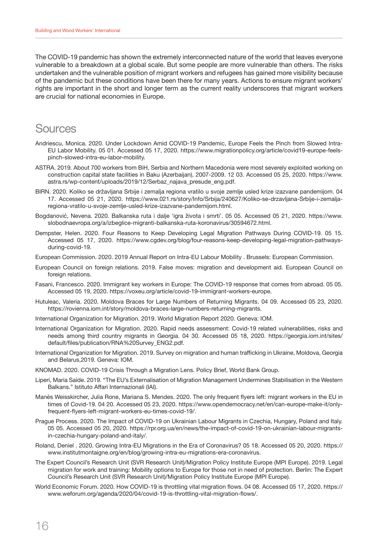<span id="page-17-0"></span>The COVID-19 pandemic has shown the extremely interconnected nature of the world that leaves everyone vulnerable to a breakdown at a global scale. But some people are more vulnerable than others. The risks undertaken and the vulnerable position of migrant workers and refugees has gained more visibility because of the pandemic but these conditions have been there for many years. Actions to ensure migrant workers' rights are important in the short and longer term as the current reality underscores that migrant workers are crucial for national economies in Europe.

### Sources

- Andriescu, Monica. 2020. Under Lockdown Amid COVID-19 Pandemic, Europe Feels the Pinch from Slowed Intra-EU Labor Mobility. 05 01. Accessed 05 17, 2020. https://www.migrationpolicy.org/article/covid19-europe-feelspinch-slowed-intra-eu-labor-mobility.
- ASTRA. 2019. About 700 workers from BiH, Serbia and Northern Macedonia were most severely exploited working on construction capital state facilities in Baku (Azerbaijan), 2007-2009. 12 03. Accessed 05 25, 2020. https://www. astra.rs/wp-content/uploads/2019/12/Serbaz\_najava\_presude\_eng.pdf.
- BIRN. 2020. Koliko se državljana Srbije i zemalja regiona vratilo u svoje zemlje usled krize izazvane pandemijom. 04 17. Accessed 05 21, 2020. https://www.021.rs/story/Info/Srbija/240627/Koliko-se-drzavljana-Srbije-i-zemaljaregiona-vratilo-u-svoje-zemlje-usled-krize-izazvane-pandemijom.html.
- Bogdanović, Nevena. 2020. Balkanska ruta i dalje 'igra života i smrti'. 05 05. Accessed 05 21, 2020. https://www. slobodnaevropa.org/a/izbeglice-migranti-balkanska-ruta-koronavirus/30594672.html.
- Dempster, Helen. 2020. Four Reasons to Keep Developing Legal Migration Pathways During COVID-19. 05 15. Accessed 05 17, 2020. https://www.cgdev.org/blog/four-reasons-keep-developing-legal-migration-pathwaysduring-covid-19.
- European Commission. 2020. 2019 Annual Report on Intra-EU Labour Mobility . Brussels: European Commission.
- European Council on foreign relations. 2019. False moves: migration and development aid. European Council on foreign relations.
- Fasani, Francesco. 2020. Immigrant key workers in Europe: The COVID-19 response that comes from abroad. 05 05. Accessed 05 19, 2020. https://voxeu.org/article/covid-19-immigrant-workers-europe.
- Hutuleac, Valeria. 2020. Moldova Braces for Large Numbers of Returning Migrants. 04 09. Accessed 05 23, 2020. https://rovienna.iom.int/story/moldova-braces-large-numbers-returning-migrants.
- International Organization for Migration. 2019. World Migration Report 2020. Geneva: IOM.
- International Organization for Migration. 2020. Rapid needs assessment: Covid-19 related vulnerabilities, risks and needs among third country migrants in Georgia. 04 30. Accessed 05 18, 2020. https://georgia.iom.int/sites/ default/files/publication/RNA%20Survey\_ENG2.pdf.
- International Organization for Migration. 2019. Survey on migration and human trafficking in Ukraine, Moldova, Georgia and Belarus,2019. Geneva: IOM.
- KNOMAD. 2020. COVID-19 Crisis Through a Migration Lens. Policy Brief, World Bank Group.
- Liperi, Maria Saide. 2019. "The EU's Externalisation of Migration Management Undermines Stabilisation in the Western Balkans." Istituto Affari Internazionali (IAI).
- Manès Weisskircher, Julia Rone, Mariana S. Mendes. 2020. The only frequent flyers left: migrant workers in the EU in times of Covid-19. 04 20. Accessed 05 23, 2020. https://www.opendemocracy.net/en/can-europe-make-it/onlyfrequent-flyers-left-migrant-workers-eu-times-covid-19/.
- Prague Process. 2020. The Impact of COVID-19 on Ukrainian Labour Migrants in Czechia, Hungary, Poland and Italy. 05 05. Accessed 05 20, 2020. https://rpr.org.ua/en/news/the-impact-of-covid-19-on-ukrainian-labour-migrantsin-czechia-hungary-poland-and-italy/.
- Roland, Deniel . 2020. Growing Intra-EU Migrations in the Era of Coronavirus? 05 18. Accessed 05 20, 2020. https:// www.institutmontaigne.org/en/blog/growing-intra-eu-migrations-era-coronavirus.
- The Expert Council's Research Unit (SVR Research Unit)/Migration Policy Institute Europe (MPI Europe). 2019. Legal migration for work and training: Mobility options to Europe for those not in need of protection. Berlin: The Expert Council's Research Unit (SVR Research Unit)/Migration Policy Institute Europe (MPI Europe).
- World Economic Forum. 2020. How COVID-19 is throttling vital migration flows. 04 08. Accessed 05 17, 2020. https:// www.weforum.org/agenda/2020/04/covid-19-is-throttling-vital-migration-flows/.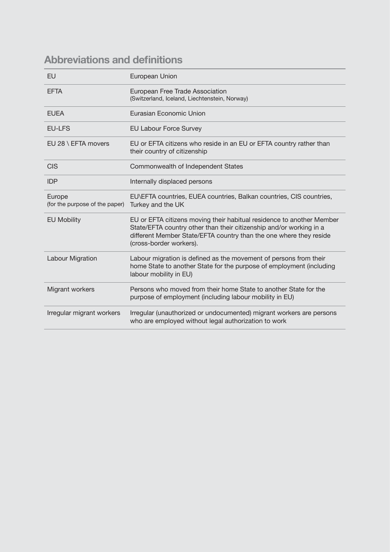### <span id="page-18-0"></span>**Abbreviations and definitions**

| <b>FU</b>                                | European Union                                                                                                                                                                                                                                |
|------------------------------------------|-----------------------------------------------------------------------------------------------------------------------------------------------------------------------------------------------------------------------------------------------|
| <b>EFTA</b>                              | European Free Trade Association<br>(Switzerland, Iceland, Liechtenstein, Norway)                                                                                                                                                              |
| <b>EUFA</b>                              | Eurasian Economic Union                                                                                                                                                                                                                       |
| <b>EU-LFS</b>                            | <b>EU Labour Force Survey</b>                                                                                                                                                                                                                 |
| EU 28 \ EFTA movers                      | EU or EFTA citizens who reside in an EU or EFTA country rather than<br>their country of citizenship                                                                                                                                           |
| <b>CIS</b>                               | Commonwealth of Independent States                                                                                                                                                                                                            |
| <b>IDP</b>                               | Internally displaced persons                                                                                                                                                                                                                  |
| Europe<br>(for the purpose of the paper) | EU\EFTA countries, EUEA countries, Balkan countries, CIS countries,<br>Turkey and the UK                                                                                                                                                      |
| <b>EU Mobility</b>                       | EU or EFTA citizens moving their habitual residence to another Member<br>State/EFTA country other than their citizenship and/or working in a<br>different Member State/EFTA country than the one where they reside<br>(cross-border workers). |
| Labour Migration                         | Labour migration is defined as the movement of persons from their<br>home State to another State for the purpose of employment (including<br>labour mobility in EU)                                                                           |
| Migrant workers                          | Persons who moved from their home State to another State for the<br>purpose of employment (including labour mobility in EU)                                                                                                                   |
| Irregular migrant workers                | Irregular (unauthorized or undocumented) migrant workers are persons<br>who are employed without legal authorization to work                                                                                                                  |